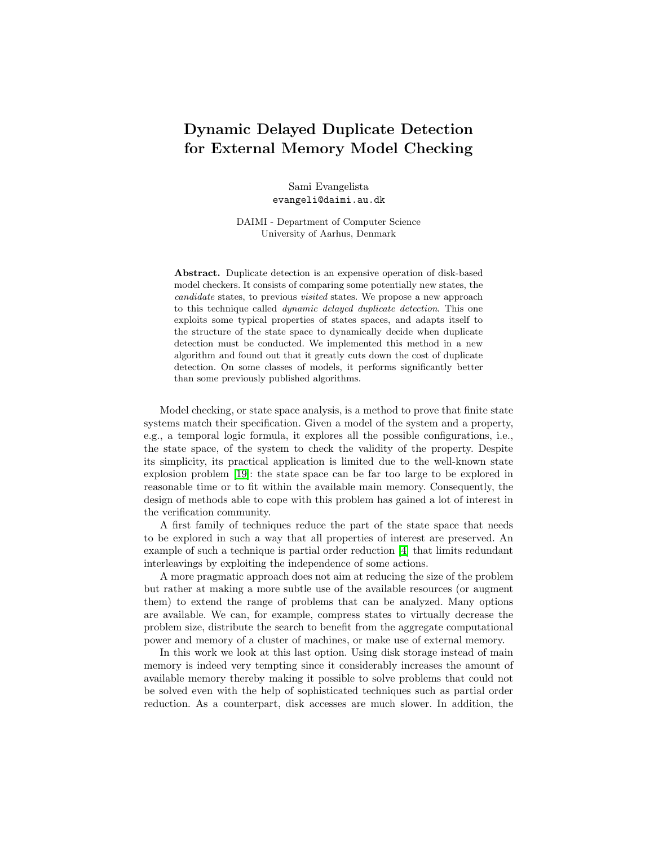# Dynamic Delayed Duplicate Detection for External Memory Model Checking

Sami Evangelista evangeli@daimi.au.dk

DAIMI - Department of Computer Science University of Aarhus, Denmark

Abstract. Duplicate detection is an expensive operation of disk-based model checkers. It consists of comparing some potentially new states, the candidate states, to previous visited states. We propose a new approach to this technique called dynamic delayed duplicate detection. This one exploits some typical properties of states spaces, and adapts itself to the structure of the state space to dynamically decide when duplicate detection must be conducted. We implemented this method in a new algorithm and found out that it greatly cuts down the cost of duplicate detection. On some classes of models, it performs significantly better than some previously published algorithms.

Model checking, or state space analysis, is a method to prove that finite state systems match their specification. Given a model of the system and a property, e.g., a temporal logic formula, it explores all the possible configurations, i.e., the state space, of the system to check the validity of the property. Despite its simplicity, its practical application is limited due to the well-known state explosion problem [\[19\]](#page-17-0): the state space can be far too large to be explored in reasonable time or to fit within the available main memory. Consequently, the design of methods able to cope with this problem has gained a lot of interest in the verification community.

A first family of techniques reduce the part of the state space that needs to be explored in such a way that all properties of interest are preserved. An example of such a technique is partial order reduction [\[4\]](#page-17-1) that limits redundant interleavings by exploiting the independence of some actions.

A more pragmatic approach does not aim at reducing the size of the problem but rather at making a more subtle use of the available resources (or augment them) to extend the range of problems that can be analyzed. Many options are available. We can, for example, compress states to virtually decrease the problem size, distribute the search to benefit from the aggregate computational power and memory of a cluster of machines, or make use of external memory.

In this work we look at this last option. Using disk storage instead of main memory is indeed very tempting since it considerably increases the amount of available memory thereby making it possible to solve problems that could not be solved even with the help of sophisticated techniques such as partial order reduction. As a counterpart, disk accesses are much slower. In addition, the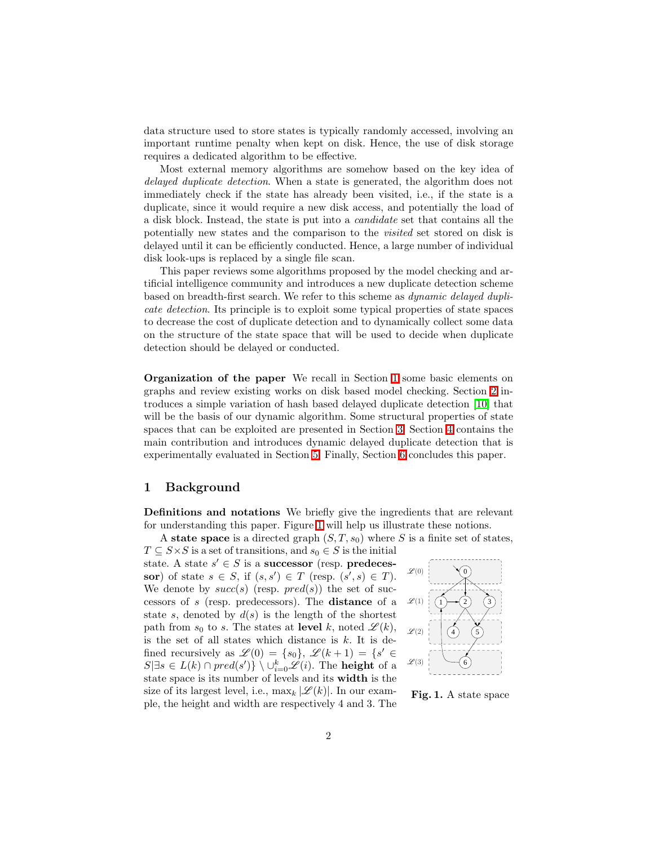data structure used to store states is typically randomly accessed, involving an important runtime penalty when kept on disk. Hence, the use of disk storage requires a dedicated algorithm to be effective.

Most external memory algorithms are somehow based on the key idea of delayed duplicate detection. When a state is generated, the algorithm does not immediately check if the state has already been visited, i.e., if the state is a duplicate, since it would require a new disk access, and potentially the load of a disk block. Instead, the state is put into a candidate set that contains all the potentially new states and the comparison to the visited set stored on disk is delayed until it can be efficiently conducted. Hence, a large number of individual disk look-ups is replaced by a single file scan.

This paper reviews some algorithms proposed by the model checking and artificial intelligence community and introduces a new duplicate detection scheme based on breadth-first search. We refer to this scheme as dynamic delayed duplicate detection. Its principle is to exploit some typical properties of state spaces to decrease the cost of duplicate detection and to dynamically collect some data on the structure of the state space that will be used to decide when duplicate detection should be delayed or conducted.

Organization of the paper We recall in Section [1](#page-1-0) some basic elements on graphs and review existing works on disk based model checking. Section [2](#page-3-0) introduces a simple variation of hash based delayed duplicate detection [\[10\]](#page-17-2) that will be the basis of our dynamic algorithm. Some structural properties of state spaces that can be exploited are presented in Section [3.](#page-4-0) Section [4](#page-5-0) contains the main contribution and introduces dynamic delayed duplicate detection that is experimentally evaluated in Section [5.](#page-12-0) Finally, Section [6](#page-16-0) concludes this paper.

## <span id="page-1-0"></span>1 Background

Definitions and notations We briefly give the ingredients that are relevant for understanding this paper. Figure [1](#page-1-1) will help us illustrate these notions.

A state space is a directed graph  $(S, T, s_0)$  where S is a finite set of states,

 $T \subseteq S \times S$  is a set of transitions, and  $s_0 \in S$  is the initial state. A state  $s' \in S$  is a successor (resp. predecessor) of state  $s \in S$ , if  $(s, s') \in T$  (resp.  $(s', s) \in T$ ). We denote by  $succ(s)$  (resp.  $pred(s)$ ) the set of successors of s (resp. predecessors). The distance of a state s, denoted by  $d(s)$  is the length of the shortest path from  $s_0$  to s. The states at level k, noted  $\mathscr{L}(k)$ , is the set of all states which distance is  $k$ . It is defined recursively as  $\mathscr{L}(0) = \{s_0\}, \, \mathscr{L}(k+1) = \{s' \in$  $S|\exists s \in L(k) \cap pred(s')\} \setminus \cup_{i=0}^k \mathscr{L}(i)$ . The **height** of a state space is its number of levels and its width is the size of its largest level, i.e.,  $\max_k |\mathscr{L}(k)|$ . In our example, the height and width are respectively 4 and 3. The



<span id="page-1-1"></span>Fig. 1. A state space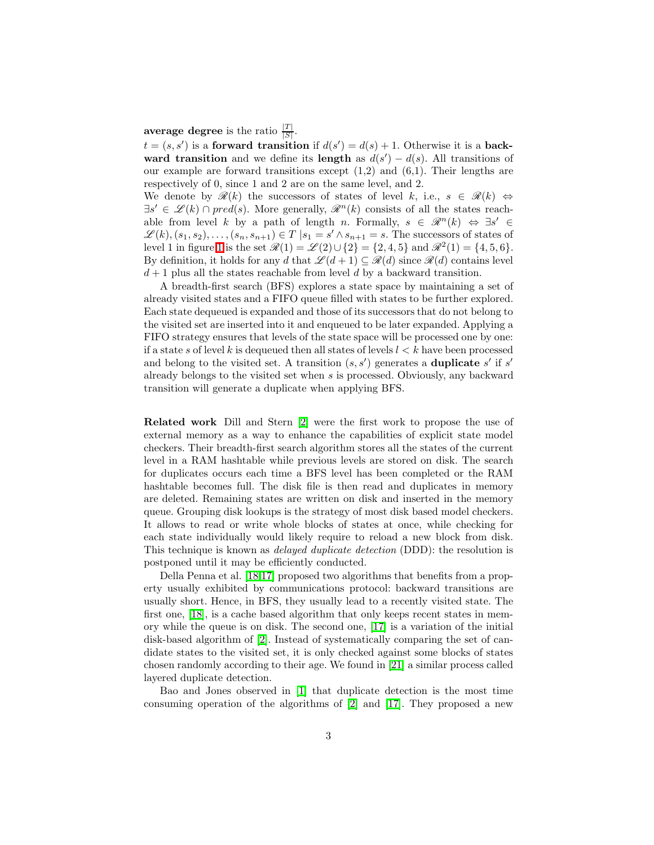average degree is the ratio  $\frac{|T|}{|S|}$ .

 $t = (s, s')$  is a forward transition if  $d(s') = d(s) + 1$ . Otherwise it is a backward transition and we define its length as  $d(s') - d(s)$ . All transitions of our example are forward transitions except  $(1,2)$  and  $(6,1)$ . Their lengths are respectively of 0, since 1 and 2 are on the same level, and 2.

We denote by  $\mathscr{R}(k)$  the successors of states of level k, i.e.,  $s \in \mathscr{R}(k) \Leftrightarrow$  $\exists s' \in \mathscr{L}(k) \cap pred(s)$ . More generally,  $\mathscr{R}^n(k)$  consists of all the states reachable from level k by a path of length n. Formally,  $s \in \mathcal{R}^n(k) \Leftrightarrow \exists s' \in$  $\mathscr{L}(k), (s_1, s_2), \ldots, (s_n, s_{n+1}) \in T \mid s_1 = s' \wedge s_{n+1} = s$ . The successors of states of level [1](#page-1-1) in figure 1 is the set  $\mathcal{R}(1) = \mathcal{L}(2) \cup \{2\} = \{2, 4, 5\}$  and  $\mathcal{R}^2(1) = \{4, 5, 6\}.$ By definition, it holds for any d that  $\mathscr{L}(d+1) \subseteq \mathscr{R}(d)$  since  $\mathscr{R}(d)$  contains level  $d+1$  plus all the states reachable from level d by a backward transition.

A breadth-first search (BFS) explores a state space by maintaining a set of already visited states and a FIFO queue filled with states to be further explored. Each state dequeued is expanded and those of its successors that do not belong to the visited set are inserted into it and enqueued to be later expanded. Applying a FIFO strategy ensures that levels of the state space will be processed one by one: if a state s of level k is dequeued then all states of levels  $l < k$  have been processed and belong to the visited set. A transition  $(s, s')$  generates a **duplicate** s' if s' already belongs to the visited set when s is processed. Obviously, any backward transition will generate a duplicate when applying BFS.

Related work Dill and Stern [\[2\]](#page-17-3) were the first work to propose the use of external memory as a way to enhance the capabilities of explicit state model checkers. Their breadth-first search algorithm stores all the states of the current level in a RAM hashtable while previous levels are stored on disk. The search for duplicates occurs each time a BFS level has been completed or the RAM hashtable becomes full. The disk file is then read and duplicates in memory are deleted. Remaining states are written on disk and inserted in the memory queue. Grouping disk lookups is the strategy of most disk based model checkers. It allows to read or write whole blocks of states at once, while checking for each state individually would likely require to reload a new block from disk. This technique is known as delayed duplicate detection (DDD): the resolution is postponed until it may be efficiently conducted.

Della Penna et al. [\[18,](#page-17-4)[17\]](#page-17-5) proposed two algorithms that benefits from a property usually exhibited by communications protocol: backward transitions are usually short. Hence, in BFS, they usually lead to a recently visited state. The first one, [\[18\]](#page-17-4), is a cache based algorithm that only keeps recent states in memory while the queue is on disk. The second one, [\[17\]](#page-17-5) is a variation of the initial disk-based algorithm of [\[2\]](#page-17-3). Instead of systematically comparing the set of candidate states to the visited set, it is only checked against some blocks of states chosen randomly according to their age. We found in [\[21\]](#page-17-6) a similar process called layered duplicate detection.

Bao and Jones observed in [\[1\]](#page-17-7) that duplicate detection is the most time consuming operation of the algorithms of [\[2\]](#page-17-3) and [\[17\]](#page-17-5). They proposed a new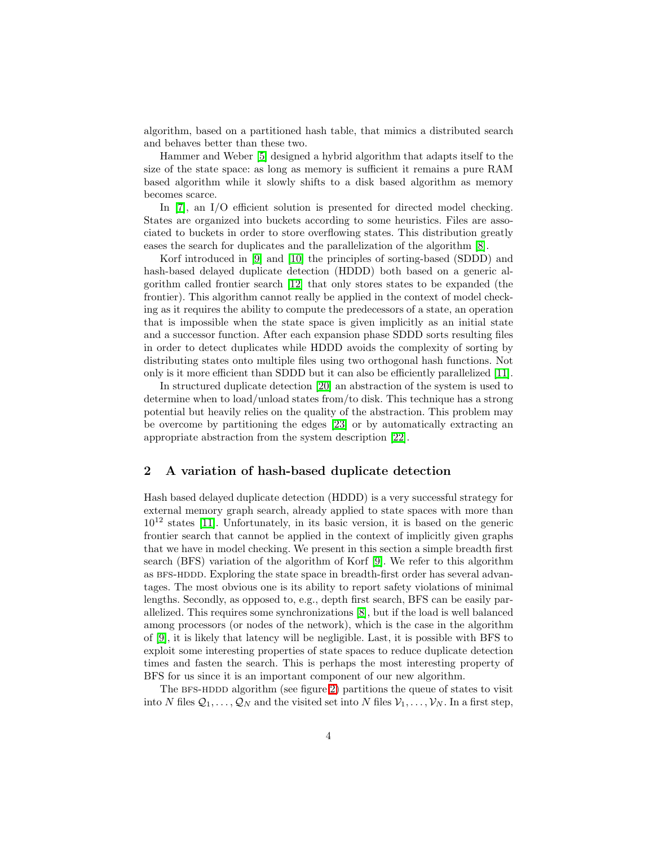algorithm, based on a partitioned hash table, that mimics a distributed search and behaves better than these two.

Hammer and Weber [\[5\]](#page-17-8) designed a hybrid algorithm that adapts itself to the size of the state space: as long as memory is sufficient it remains a pure RAM based algorithm while it slowly shifts to a disk based algorithm as memory becomes scarce.

In [\[7\]](#page-17-9), an I/O efficient solution is presented for directed model checking. States are organized into buckets according to some heuristics. Files are associated to buckets in order to store overflowing states. This distribution greatly eases the search for duplicates and the parallelization of the algorithm [\[8\]](#page-17-10).

Korf introduced in [\[9\]](#page-17-11) and [\[10\]](#page-17-2) the principles of sorting-based (SDDD) and hash-based delayed duplicate detection (HDDD) both based on a generic algorithm called frontier search [\[12\]](#page-17-12) that only stores states to be expanded (the frontier). This algorithm cannot really be applied in the context of model checking as it requires the ability to compute the predecessors of a state, an operation that is impossible when the state space is given implicitly as an initial state and a successor function. After each expansion phase SDDD sorts resulting files in order to detect duplicates while HDDD avoids the complexity of sorting by distributing states onto multiple files using two orthogonal hash functions. Not only is it more efficient than SDDD but it can also be efficiently parallelized [\[11\]](#page-17-13).

In structured duplicate detection [\[20\]](#page-17-14) an abstraction of the system is used to determine when to load/unload states from/to disk. This technique has a strong potential but heavily relies on the quality of the abstraction. This problem may be overcome by partitioning the edges [\[23\]](#page-17-15) or by automatically extracting an appropriate abstraction from the system description [\[22\]](#page-17-16).

## <span id="page-3-0"></span>2 A variation of hash-based duplicate detection

Hash based delayed duplicate detection (HDDD) is a very successful strategy for external memory graph search, already applied to state spaces with more than  $10^{12}$  states [\[11\]](#page-17-13). Unfortunately, in its basic version, it is based on the generic frontier search that cannot be applied in the context of implicitly given graphs that we have in model checking. We present in this section a simple breadth first search (BFS) variation of the algorithm of Korf [\[9\]](#page-17-11). We refer to this algorithm as BFS-HDDD. Exploring the state space in breadth-first order has several advantages. The most obvious one is its ability to report safety violations of minimal lengths. Secondly, as opposed to, e.g., depth first search, BFS can be easily parallelized. This requires some synchronizations [\[8\]](#page-17-10), but if the load is well balanced among processors (or nodes of the network), which is the case in the algorithm of [\[9\]](#page-17-11), it is likely that latency will be negligible. Last, it is possible with BFS to exploit some interesting properties of state spaces to reduce duplicate detection times and fasten the search. This is perhaps the most interesting property of BFS for us since it is an important component of our new algorithm.

The BFS-HDDD algorithm (see figure [2\)](#page-4-1) partitions the queue of states to visit into N files  $Q_1, \ldots, Q_N$  and the visited set into N files  $\mathcal{V}_1, \ldots, \mathcal{V}_N$ . In a first step,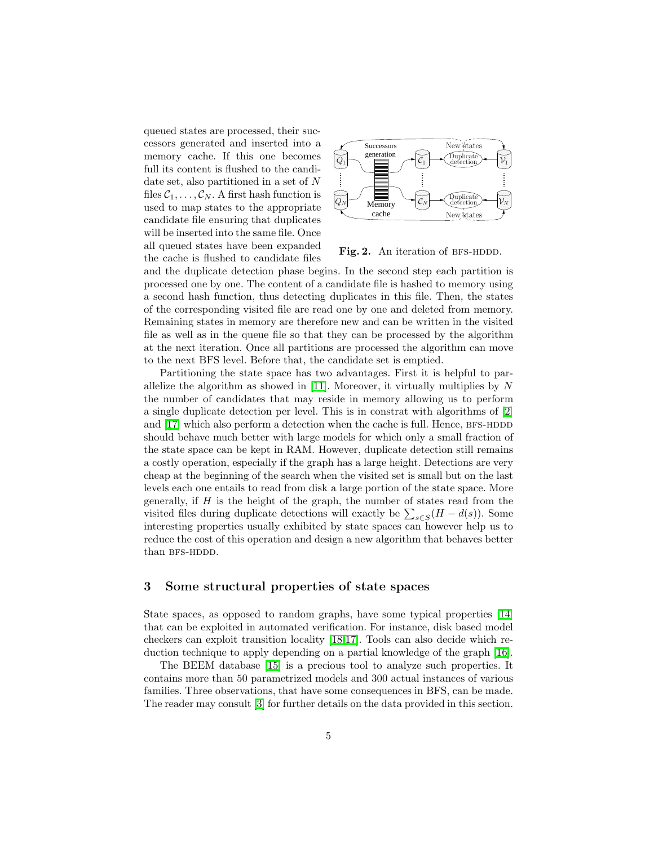queued states are processed, their successors generated and inserted into a memory cache. If this one becomes full its content is flushed to the candidate set, also partitioned in a set of N files  $C_1, \ldots, C_N$ . A first hash function is used to map states to the appropriate candidate file ensuring that duplicates will be inserted into the same file. Once all queued states have been expanded the cache is flushed to candidate files



<span id="page-4-1"></span>Fig. 2. An iteration of BFS-HDDD.

and the duplicate detection phase begins. In the second step each partition is processed one by one. The content of a candidate file is hashed to memory using a second hash function, thus detecting duplicates in this file. Then, the states of the corresponding visited file are read one by one and deleted from memory. Remaining states in memory are therefore new and can be written in the visited file as well as in the queue file so that they can be processed by the algorithm at the next iteration. Once all partitions are processed the algorithm can move to the next BFS level. Before that, the candidate set is emptied.

Partitioning the state space has two advantages. First it is helpful to par-allelize the algorithm as showed in [\[11\]](#page-17-13). Moreover, it virtually multiplies by  $N$ the number of candidates that may reside in memory allowing us to perform a single duplicate detection per level. This is in constrat with algorithms of [\[2\]](#page-17-3) and  $\left|17\right|$  which also perform a detection when the cache is full. Hence, BFS-HDDD should behave much better with large models for which only a small fraction of the state space can be kept in RAM. However, duplicate detection still remains a costly operation, especially if the graph has a large height. Detections are very cheap at the beginning of the search when the visited set is small but on the last levels each one entails to read from disk a large portion of the state space. More generally, if  $H$  is the height of the graph, the number of states read from the visited files during duplicate detections will exactly be  $\sum_{s \in S} (H - d(s))$ . Some interesting properties usually exhibited by state spaces can however help us to reduce the cost of this operation and design a new algorithm that behaves better than BFS-HDDD.

# <span id="page-4-0"></span>3 Some structural properties of state spaces

State spaces, as opposed to random graphs, have some typical properties [\[14\]](#page-17-17) that can be exploited in automated verification. For instance, disk based model checkers can exploit transition locality [\[18](#page-17-4)[,17\]](#page-17-5). Tools can also decide which reduction technique to apply depending on a partial knowledge of the graph [\[16\]](#page-17-18).

The BEEM database [\[15\]](#page-17-19) is a precious tool to analyze such properties. It contains more than 50 parametrized models and 300 actual instances of various families. Three observations, that have some consequences in BFS, can be made. The reader may consult [\[3\]](#page-17-20) for further details on the data provided in this section.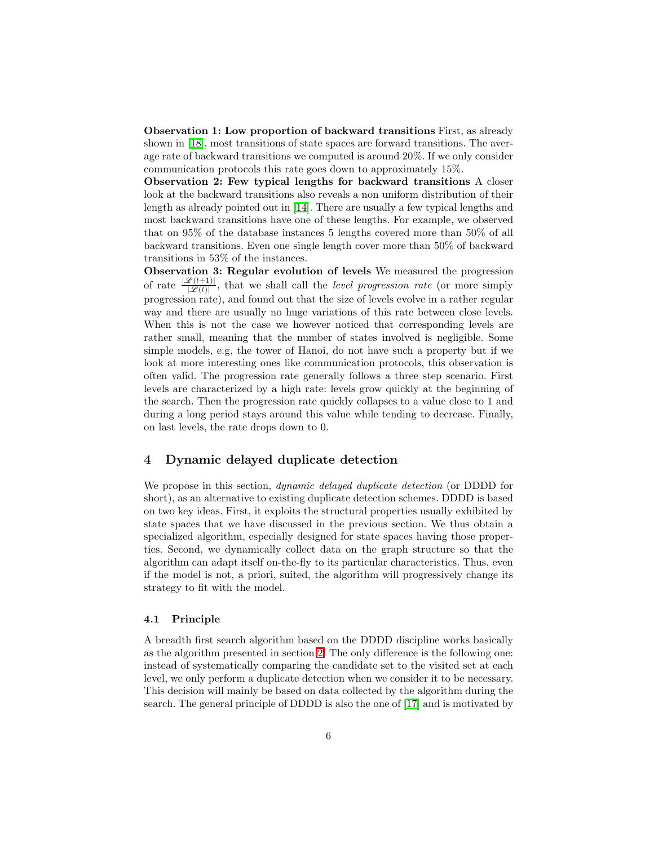Observation 1: Low proportion of backward transitions First, as already shown in [\[18\]](#page-17-4), most transitions of state spaces are forward transitions. The average rate of backward transitions we computed is around 20%. If we only consider communication protocols this rate goes down to approximately 15%.

Observation 2: Few typical lengths for backward transitions A closer look at the backward transitions also reveals a non uniform distribution of their length as already pointed out in [\[14\]](#page-17-17). There are usually a few typical lengths and most backward transitions have one of these lengths. For example, we observed that on 95% of the database instances 5 lengths covered more than 50% of all backward transitions. Even one single length cover more than 50% of backward transitions in 53% of the instances.

Observation 3: Regular evolution of levels We measured the progression of rate  $\frac{|\mathscr{L}(l+1)|}{|\mathscr{L}(l)|}$ , that we shall call the *level progression rate* (or more simply progression rate), and found out that the size of levels evolve in a rather regular way and there are usually no huge variations of this rate between close levels. When this is not the case we however noticed that corresponding levels are rather small, meaning that the number of states involved is negligible. Some simple models, e.g, the tower of Hanoi, do not have such a property but if we look at more interesting ones like communication protocols, this observation is often valid. The progression rate generally follows a three step scenario. First levels are characterized by a high rate: levels grow quickly at the beginning of the search. Then the progression rate quickly collapses to a value close to 1 and during a long period stays around this value while tending to decrease. Finally, on last levels, the rate drops down to 0.

## <span id="page-5-0"></span>4 Dynamic delayed duplicate detection

We propose in this section, *dynamic delayed duplicate detection* (or DDDD for short), as an alternative to existing duplicate detection schemes. DDDD is based on two key ideas. First, it exploits the structural properties usually exhibited by state spaces that we have discussed in the previous section. We thus obtain a specialized algorithm, especially designed for state spaces having those properties. Second, we dynamically collect data on the graph structure so that the algorithm can adapt itself on-the-fly to its particular characteristics. Thus, even if the model is not, a priori, suited, the algorithm will progressively change its strategy to fit with the model.

#### 4.1 Principle

A breadth first search algorithm based on the DDDD discipline works basically as the algorithm presented in section [2.](#page-3-0) The only difference is the following one: instead of systematically comparing the candidate set to the visited set at each level, we only perform a duplicate detection when we consider it to be necessary. This decision will mainly be based on data collected by the algorithm during the search. The general principle of DDDD is also the one of [\[17\]](#page-17-5) and is motivated by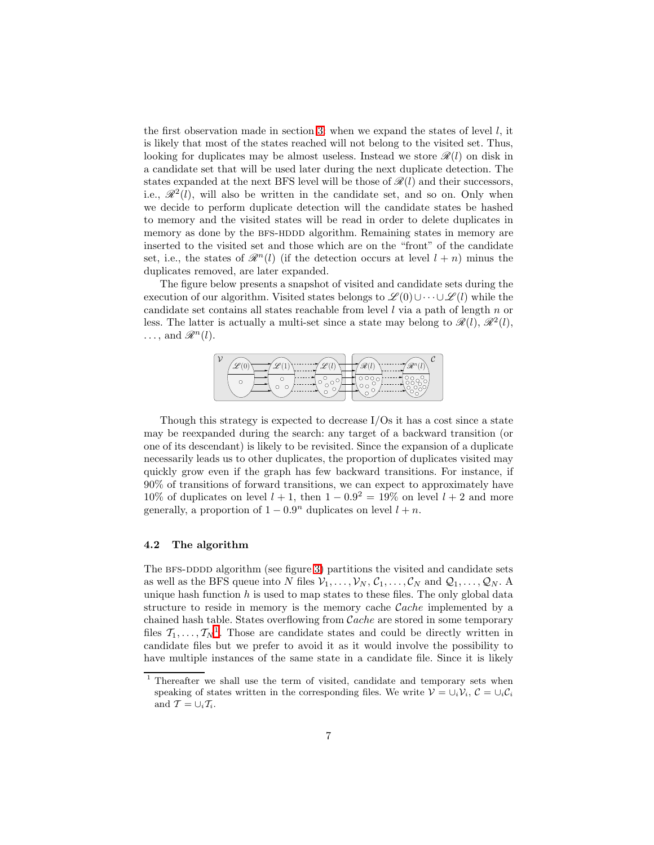the first observation made in section [3:](#page-4-0) when we expand the states of level  $l$ , it is likely that most of the states reached will not belong to the visited set. Thus, looking for duplicates may be almost useless. Instead we store  $\mathcal{R}(l)$  on disk in a candidate set that will be used later during the next duplicate detection. The states expanded at the next BFS level will be those of  $\mathcal{R}(l)$  and their successors, i.e.,  $\mathcal{R}^2(l)$ , will also be written in the candidate set, and so on. Only when we decide to perform duplicate detection will the candidate states be hashed to memory and the visited states will be read in order to delete duplicates in memory as done by the BFS-HDDD algorithm. Remaining states in memory are inserted to the visited set and those which are on the "front" of the candidate set, i.e., the states of  $\mathscr{R}^n(l)$  (if the detection occurs at level  $l + n$ ) minus the duplicates removed, are later expanded.

The figure below presents a snapshot of visited and candidate sets during the execution of our algorithm. Visited states belongs to  $\mathscr{L}(0) \cup \cdots \cup \mathscr{L}(l)$  while the candidate set contains all states reachable from level  $l$  via a path of length  $n$  or less. The latter is actually a multi-set since a state may belong to  $\mathcal{R}(l)$ ,  $\mathcal{R}^2(l)$ ,  $\ldots$ , and  $\mathscr{R}^n(l)$ .



Though this strategy is expected to decrease I/Os it has a cost since a state may be reexpanded during the search: any target of a backward transition (or one of its descendant) is likely to be revisited. Since the expansion of a duplicate necessarily leads us to other duplicates, the proportion of duplicates visited may quickly grow even if the graph has few backward transitions. For instance, if 90% of transitions of forward transitions, we can expect to approximately have 10% of duplicates on level  $l + 1$ , then  $1 - 0.9^2 = 19%$  on level  $l + 2$  and more generally, a proportion of  $1 - 0.9<sup>n</sup>$  duplicates on level  $l + n$ .

## 4.2 The algorithm

The BFS-DDDD algorithm (see figure [3\)](#page-8-0) partitions the visited and candidate sets as well as the BFS queue into N files  $V_1, \ldots, V_N, C_1, \ldots, C_N$  and  $Q_1, \ldots, Q_N$ . A unique hash function  $h$  is used to map states to these files. The only global data structure to reside in memory is the memory cache  $Cache$  implemented by a chained hash table. States overflowing from  $Cache$  are stored in some temporary files  $T_1, \ldots, T_N^1$  $T_1, \ldots, T_N^1$  $T_1, \ldots, T_N^1$ . Those are candidate states and could be directly written in candidate files but we prefer to avoid it as it would involve the possibility to have multiple instances of the same state in a candidate file. Since it is likely

<span id="page-6-0"></span><sup>&</sup>lt;sup>1</sup> Thereafter we shall use the term of visited, candidate and temporary sets when speaking of states written in the corresponding files. We write  $\mathcal{V} = \cup_i \mathcal{V}_i, \mathcal{C} = \cup_i \mathcal{C}_i$ and  $\mathcal{T} = \cup_i \mathcal{T}_i$ .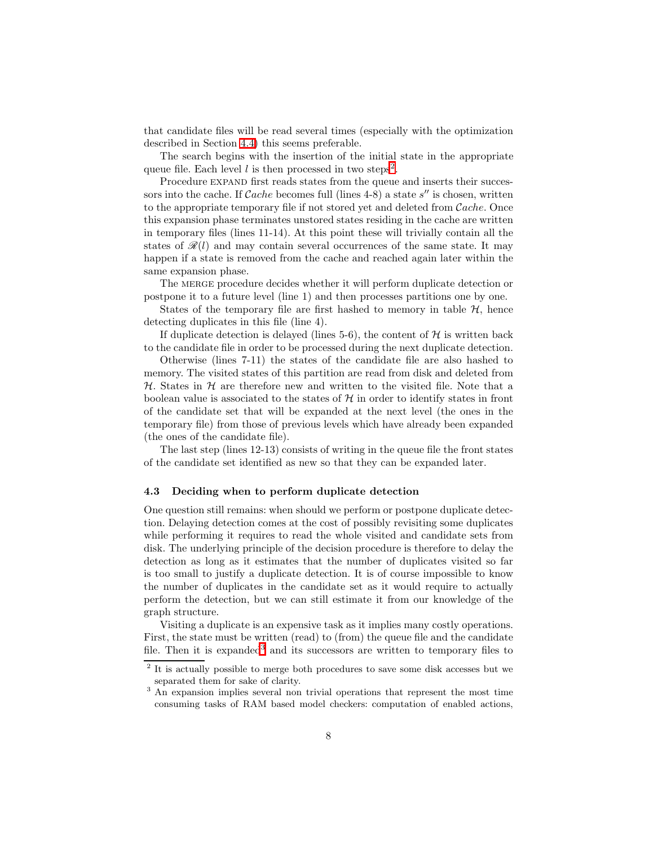that candidate files will be read several times (especially with the optimization described in Section [4.4\)](#page-11-0) this seems preferable.

The search begins with the insertion of the initial state in the appropriate queue file. Each level  $l$  is then processed in two steps<sup>[2](#page-7-0)</sup>.

Procedure EXPAND first reads states from the queue and inserts their successors into the cache. If  $Cache$  becomes full (lines 4-8) a state  $s''$  is chosen, written to the appropriate temporary file if not stored yet and deleted from  $Cache$ . Once this expansion phase terminates unstored states residing in the cache are written in temporary files (lines 11-14). At this point these will trivially contain all the states of  $\mathcal{R}(l)$  and may contain several occurrences of the same state. It may happen if a state is removed from the cache and reached again later within the same expansion phase.

The MERGE procedure decides whether it will perform duplicate detection or postpone it to a future level (line 1) and then processes partitions one by one.

States of the temporary file are first hashed to memory in table  $H$ , hence detecting duplicates in this file (line 4).

If duplicate detection is delayed (lines 5-6), the content of  $H$  is written back to the candidate file in order to be processed during the next duplicate detection.

Otherwise (lines 7-11) the states of the candidate file are also hashed to memory. The visited states of this partition are read from disk and deleted from  $H$ . States in  $H$  are therefore new and written to the visited file. Note that a boolean value is associated to the states of  $H$  in order to identify states in front of the candidate set that will be expanded at the next level (the ones in the temporary file) from those of previous levels which have already been expanded (the ones of the candidate file).

The last step (lines 12-13) consists of writing in the queue file the front states of the candidate set identified as new so that they can be expanded later.

#### 4.3 Deciding when to perform duplicate detection

One question still remains: when should we perform or postpone duplicate detection. Delaying detection comes at the cost of possibly revisiting some duplicates while performing it requires to read the whole visited and candidate sets from disk. The underlying principle of the decision procedure is therefore to delay the detection as long as it estimates that the number of duplicates visited so far is too small to justify a duplicate detection. It is of course impossible to know the number of duplicates in the candidate set as it would require to actually perform the detection, but we can still estimate it from our knowledge of the graph structure.

Visiting a duplicate is an expensive task as it implies many costly operations. First, the state must be written (read) to (from) the queue file and the candidate file. Then it is expanded<sup>[3](#page-7-1)</sup> and its successors are written to temporary files to

<span id="page-7-0"></span><sup>&</sup>lt;sup>2</sup> It is actually possible to merge both procedures to save some disk accesses but we separated them for sake of clarity.

<span id="page-7-1"></span><sup>&</sup>lt;sup>3</sup> An expansion implies several non trivial operations that represent the most time consuming tasks of RAM based model checkers: computation of enabled actions,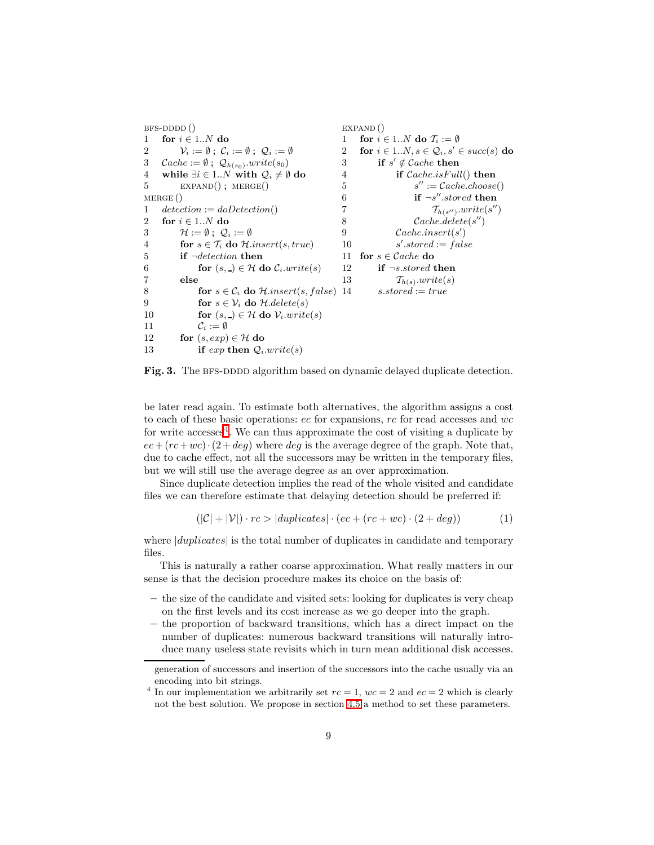bfs-dddd () 1 for  $i\in{1..N}$  do 2  $\mathcal{V}_i := \emptyset$ ;  $\mathcal{C}_i := \emptyset$ ;  $\mathcal{Q}_i := \emptyset$ 3  $Cache := \emptyset$ ;  $\mathcal{Q}_{h(s_0)} . write(s_0)$ 4 while  $\exists i \in 1..N$  with  $\mathcal{Q}_i \neq \emptyset$  do  $5$  EXPAND(); MERGE()  $MERGE()$ 1 detection :=  $do Detection()$ 2 for  $i \in 1..N$  do 3  $\mathcal{H} := \emptyset$ ;  $\mathcal{Q}_i := \emptyset$ 4 for  $s \in \mathcal{T}_i$  do  $\mathcal{H}.insert(s, true)$ 5 if  $\neg detection$  then 6 **for**  $(s, \_) \in \mathcal{H}$  **do**  $\mathcal{C}_i$ *write* $(s)$ 7 else 8 **for**  $s \in C_i$  do  $\mathcal{H}.insert(s, false)$  14 9 for  $s \in \mathcal{V}_i$  do  $\mathcal{H}.delete(s)$ 10 **for**  $(s, \_) \in \mathcal{H}$  **do**  $\mathcal{V}_i$ *write* $(s)$ 11  $C_i := \emptyset$ 12 for  $(s, exp) \in \mathcal{H}$  do 13 if  $exp$  then  $Q_i.write(s)$  $EXPAND()$ 1 for  $i \in 1..N$  do  $\mathcal{T}_i := \emptyset$ 2 for  $i \in 1..N$ ,  $s \in \mathcal{Q}_i$ ,  $s' \in succ(s)$  do 3 if  $s' \notin Cache$  then 4 **if**  $Cache.isFull()$  then  $5 \qquad \qquad s$  $s'':=\mathcal{C}ache.choose()$ 6 if  $\neg s''.stored$  then 7  $\mathcal{T}_{h(s'')}$ .write(s'') 8 *Cache.delete(s'')* 9 Cache.insert(s ′ )  $10$  $\ell$ .stored := false 11 for  $s \in \mathcal{C}ache$  do 12 if  $\neg s.stored$  then 13  $\mathcal{T}_{h(s)} \cdot write(s)$  $s.stored := true$ 

<span id="page-8-0"></span>Fig. 3. The BFS-DDDD algorithm based on dynamic delayed duplicate detection.

be later read again. To estimate both alternatives, the algorithm assigns a cost to each of these basic operations: ec for expansions, rc for read accesses and wc for write accesses<sup>[4](#page-8-1)</sup>. We can thus approximate the cost of visiting a duplicate by  $ec+(rc+wc)\cdot(2+deg)$  where deg is the average degree of the graph. Note that, due to cache effect, not all the successors may be written in the temporary files, but we will still use the average degree as an over approximation.

<span id="page-8-2"></span>Since duplicate detection implies the read of the whole visited and candidate files we can therefore estimate that delaying detection should be preferred if:

$$
(|\mathcal{C}| + |\mathcal{V}|) \cdot rc > |duplicates| \cdot (ec + (rc + wc) \cdot (2 + deg)) \tag{1}
$$

where  $|duplicates|$  is the total number of duplicates in candidate and temporary files.

This is naturally a rather coarse approximation. What really matters in our sense is that the decision procedure makes its choice on the basis of:

- the size of the candidate and visited sets: looking for duplicates is very cheap on the first levels and its cost increase as we go deeper into the graph.
- the proportion of backward transitions, which has a direct impact on the number of duplicates: numerous backward transitions will naturally introduce many useless state revisits which in turn mean additional disk accesses.

generation of successors and insertion of the successors into the cache usually via an encoding into bit strings.

<span id="page-8-1"></span><sup>&</sup>lt;sup>4</sup> In our implementation we arbitrarily set  $rc = 1$ ,  $wc = 2$  and  $ec = 2$  which is clearly not the best solution. We propose in section [4.5](#page-11-1) a method to set these parameters.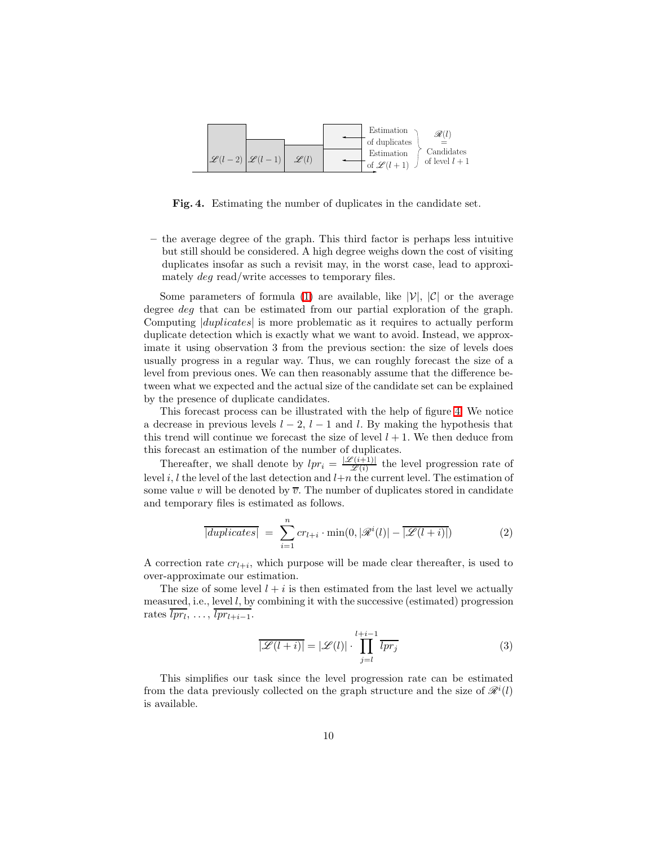

<span id="page-9-0"></span>Fig. 4. Estimating the number of duplicates in the candidate set.

– the average degree of the graph. This third factor is perhaps less intuitive but still should be considered. A high degree weighs down the cost of visiting duplicates insofar as such a revisit may, in the worst case, lead to approximately deg read/write accesses to temporary files.

Some parameters of formula [\(1\)](#page-8-2) are available, like  $|\mathcal{V}|$ ,  $|\mathcal{C}|$  or the average degree deg that can be estimated from our partial exploration of the graph. Computing |duplicates| is more problematic as it requires to actually perform duplicate detection which is exactly what we want to avoid. Instead, we approximate it using observation 3 from the previous section: the size of levels does usually progress in a regular way. Thus, we can roughly forecast the size of a level from previous ones. We can then reasonably assume that the difference between what we expected and the actual size of the candidate set can be explained by the presence of duplicate candidates.

This forecast process can be illustrated with the help of figure [4.](#page-9-0) We notice a decrease in previous levels  $l - 2$ ,  $l - 1$  and l. By making the hypothesis that this trend will continue we forecast the size of level  $l + 1$ . We then deduce from this forecast an estimation of the number of duplicates.

Thereafter, we shall denote by  $lpr_i = \frac{|\mathscr{L}(i+1)|}{\mathscr{L}(i)}$  $\frac{\mathcal{L}(i+1)}{\mathcal{L}(i)}$  the level progression rate of level i, l the level of the last detection and  $l+n$  the current level. The estimation of some value v will be denoted by  $\overline{v}$ . The number of duplicates stored in candidate and temporary files is estimated as follows.

$$
\overline{|duplicates|} = \sum_{i=1}^{n} cr_{l+i} \cdot \min(0, |\mathscr{R}^i(l)| - |\mathscr{L}(l+i)|)
$$
 (2)

A correction rate  $cr_{l+i}$ , which purpose will be made clear thereafter, is used to over-approximate our estimation.

The size of some level  $l + i$  is then estimated from the last level we actually measured, i.e., level  $l$ , by combining it with the successive (estimated) progression rates  $lpr_l, \ldots, lpr_{l+i-1}.$ 

$$
|\mathcal{L}(l+i)| = |\mathcal{L}(l)| \cdot \prod_{j=l}^{l+i-1} \overline{lpr_j}
$$
 (3)

This simplifies our task since the level progression rate can be estimated from the data previously collected on the graph structure and the size of  $\mathscr{R}^{i}(l)$ is available.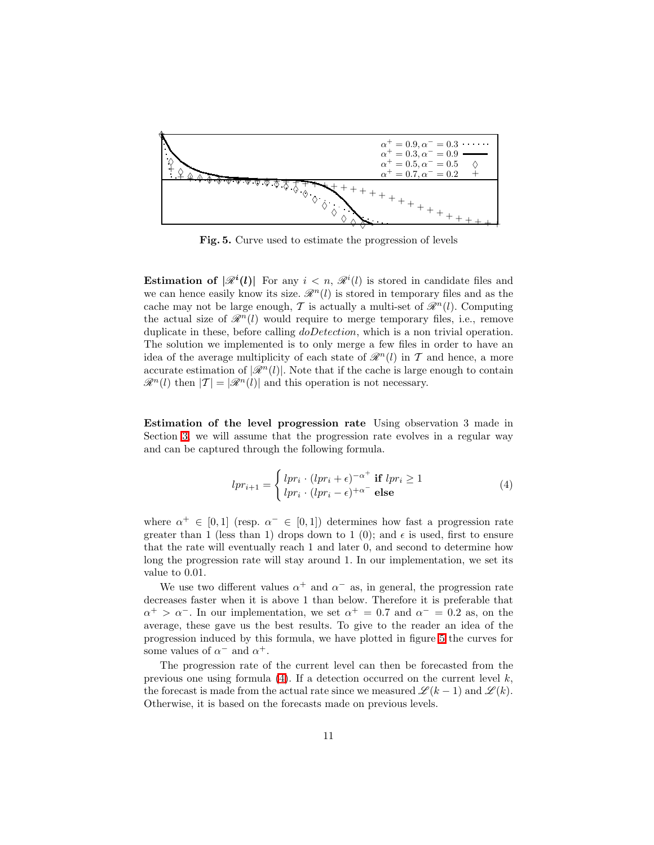

<span id="page-10-0"></span>Fig. 5. Curve used to estimate the progression of levels

**Estimation of**  $|\mathcal{R}^i(l)|$  For any  $i < n$ ,  $\mathcal{R}^i(l)$  is stored in candidate files and we can hence easily know its size.  $\mathcal{R}^{n}(l)$  is stored in temporary files and as the cache may not be large enough, T is actually a multi-set of  $\mathscr{R}^n(l)$ . Computing the actual size of  $\mathscr{R}^n(l)$  would require to merge temporary files, i.e., remove duplicate in these, before calling *doDetection*, which is a non trivial operation. The solution we implemented is to only merge a few files in order to have an idea of the average multiplicity of each state of  $\mathscr{R}^n(l)$  in T and hence, a more accurate estimation of  $|\mathscr{R}^{n}(l)|$ . Note that if the cache is large enough to contain  $\mathscr{R}^{n}(l)$  then  $|\mathcal{T}| = |\mathscr{R}^{n}(l)|$  and this operation is not necessary.

<span id="page-10-1"></span>Estimation of the level progression rate Using observation 3 made in Section [3,](#page-4-0) we will assume that the progression rate evolves in a regular way and can be captured through the following formula.

$$
lpr_{i+1} = \begin{cases} lpr_i \cdot (lpr_i + \epsilon)^{-\alpha^+} & \text{if } lpr_i \ge 1\\ lpr_i \cdot (lpr_i - \epsilon)^{+\alpha^-} & \text{else} \end{cases}
$$
(4)

where  $\alpha^+ \in [0,1]$  (resp.  $\alpha^- \in [0,1]$ ) determines how fast a progression rate greater than 1 (less than 1) drops down to 1 (0); and  $\epsilon$  is used, first to ensure that the rate will eventually reach 1 and later 0, and second to determine how long the progression rate will stay around 1. In our implementation, we set its value to 0.01.

We use two different values  $\alpha^+$  and  $\alpha^-$  as, in general, the progression rate decreases faster when it is above 1 than below. Therefore it is preferable that  $\alpha^+ > \alpha^-$ . In our implementation, we set  $\alpha^+ = 0.7$  and  $\alpha^- = 0.2$  as, on the average, these gave us the best results. To give to the reader an idea of the progression induced by this formula, we have plotted in figure [5](#page-10-0) the curves for some values of  $\alpha^-$  and  $\alpha^+$ .

The progression rate of the current level can then be forecasted from the previous one using formula [\(4\)](#page-10-1). If a detection occurred on the current level  $k$ , the forecast is made from the actual rate since we measured  $\mathscr{L}(k-1)$  and  $\mathscr{L}(k)$ . Otherwise, it is based on the forecasts made on previous levels.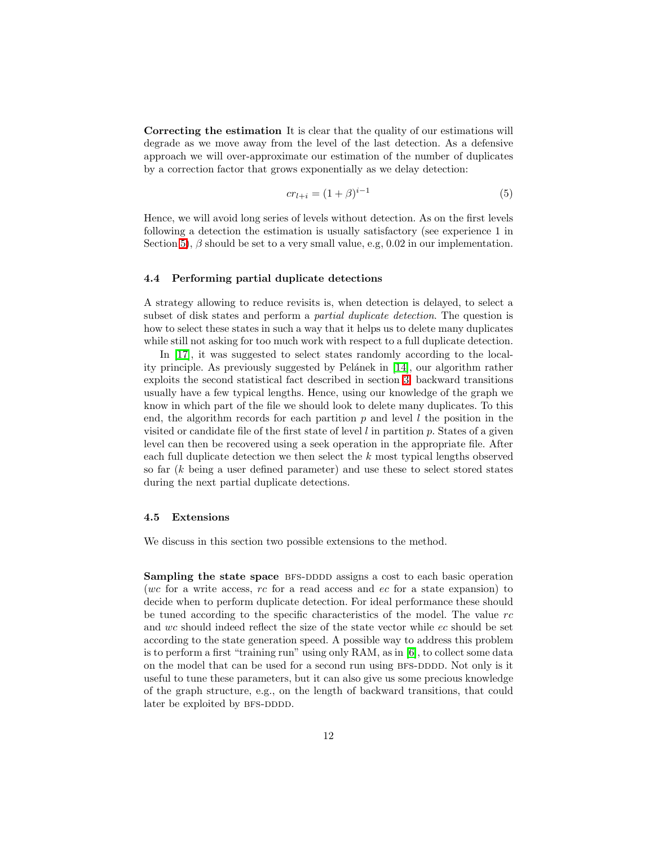Correcting the estimation It is clear that the quality of our estimations will degrade as we move away from the level of the last detection. As a defensive approach we will over-approximate our estimation of the number of duplicates by a correction factor that grows exponentially as we delay detection:

$$
cr_{l+i} = (1+\beta)^{i-1}
$$
 (5)

Hence, we will avoid long series of levels without detection. As on the first levels following a detection the estimation is usually satisfactory (see experience 1 in Section [5\)](#page-12-0),  $\beta$  should be set to a very small value, e.g, 0.02 in our implementation.

#### <span id="page-11-0"></span>4.4 Performing partial duplicate detections

A strategy allowing to reduce revisits is, when detection is delayed, to select a subset of disk states and perform a partial duplicate detection. The question is how to select these states in such a way that it helps us to delete many duplicates while still not asking for too much work with respect to a full duplicate detection.

In [\[17\]](#page-17-5), it was suggested to select states randomly according to the local-ity principle. As previously suggested by Pelánek in [\[14\]](#page-17-17), our algorithm rather exploits the second statistical fact described in section [3:](#page-4-0) backward transitions usually have a few typical lengths. Hence, using our knowledge of the graph we know in which part of the file we should look to delete many duplicates. To this end, the algorithm records for each partition  $p$  and level  $l$  the position in the visited or candidate file of the first state of level  $l$  in partition  $p$ . States of a given level can then be recovered using a seek operation in the appropriate file. After each full duplicate detection we then select the  $k$  most typical lengths observed so far (k being a user defined parameter) and use these to select stored states during the next partial duplicate detections.

#### <span id="page-11-1"></span>4.5 Extensions

We discuss in this section two possible extensions to the method.

Sampling the state space BFS-DDDD assigns a cost to each basic operation (wc for a write access,  $rc$  for a read access and  $ec$  for a state expansion) to decide when to perform duplicate detection. For ideal performance these should be tuned according to the specific characteristics of the model. The value  $rc$ and wc should indeed reflect the size of the state vector while ec should be set according to the state generation speed. A possible way to address this problem is to perform a first "training run" using only RAM, as in [\[6\]](#page-17-21), to collect some data on the model that can be used for a second run using BFS-DDDD. Not only is it useful to tune these parameters, but it can also give us some precious knowledge of the graph structure, e.g., on the length of backward transitions, that could later be exploited by BFS-DDDD.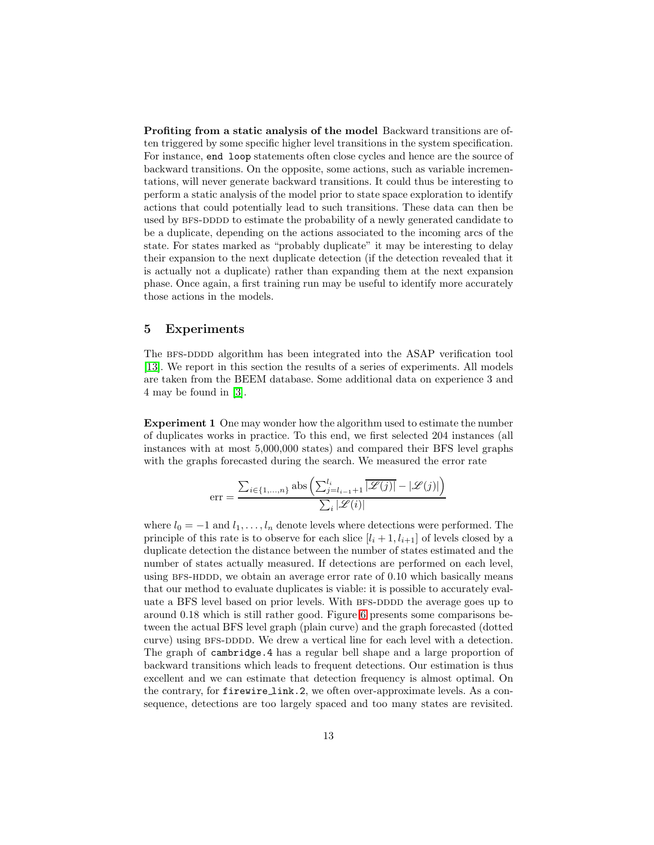Profiting from a static analysis of the model Backward transitions are often triggered by some specific higher level transitions in the system specification. For instance, end loop statements often close cycles and hence are the source of backward transitions. On the opposite, some actions, such as variable incrementations, will never generate backward transitions. It could thus be interesting to perform a static analysis of the model prior to state space exploration to identify actions that could potentially lead to such transitions. These data can then be used by BFS-DDDD to estimate the probability of a newly generated candidate to be a duplicate, depending on the actions associated to the incoming arcs of the state. For states marked as "probably duplicate" it may be interesting to delay their expansion to the next duplicate detection (if the detection revealed that it is actually not a duplicate) rather than expanding them at the next expansion phase. Once again, a first training run may be useful to identify more accurately those actions in the models.

## <span id="page-12-0"></span>5 Experiments

The BFS-DDDD algorithm has been integrated into the ASAP verification tool [\[13\]](#page-17-22). We report in this section the results of a series of experiments. All models are taken from the BEEM database. Some additional data on experience 3 and 4 may be found in [\[3\]](#page-17-20).

Experiment 1 One may wonder how the algorithm used to estimate the number of duplicates works in practice. To this end, we first selected 204 instances (all instances with at most 5,000,000 states) and compared their BFS level graphs with the graphs forecasted during the search. We measured the error rate

$$
err = \frac{\sum_{i \in \{1, ..., n\}} \text{abs}\left(\sum_{j=l_{i-1}+1}^{l_i} \overline{|\mathcal{L}(j)|} - |\mathcal{L}(j)|\right)}{\sum_i |\mathcal{L}(i)|}
$$

where  $l_0 = -1$  and  $l_1, \ldots, l_n$  denote levels where detections were performed. The principle of this rate is to observe for each slice  $[l_i + 1, l_{i+1}]$  of levels closed by a duplicate detection the distance between the number of states estimated and the number of states actually measured. If detections are performed on each level, using BFS-HDDD, we obtain an average error rate of  $0.10$  which basically means that our method to evaluate duplicates is viable: it is possible to accurately evaluate a BFS level based on prior levels. With BFS-DDDD the average goes up to around 0.18 which is still rather good. Figure [6](#page-13-0) presents some comparisons between the actual BFS level graph (plain curve) and the graph forecasted (dotted curve) using BFS-DDDD. We drew a vertical line for each level with a detection. The graph of cambridge.4 has a regular bell shape and a large proportion of backward transitions which leads to frequent detections. Our estimation is thus excellent and we can estimate that detection frequency is almost optimal. On the contrary, for firewire link.2, we often over-approximate levels. As a consequence, detections are too largely spaced and too many states are revisited.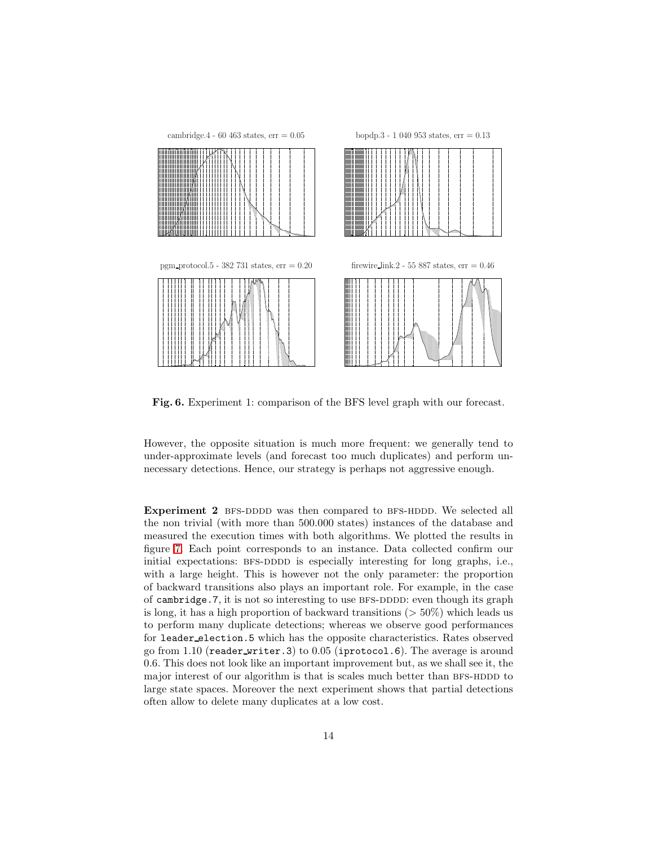

<span id="page-13-0"></span>Fig. 6. Experiment 1: comparison of the BFS level graph with our forecast.

However, the opposite situation is much more frequent: we generally tend to under-approximate levels (and forecast too much duplicates) and perform unnecessary detections. Hence, our strategy is perhaps not aggressive enough.

Experiment 2 BFS-DDDD was then compared to BFS-HDDD. We selected all the non trivial (with more than 500.000 states) instances of the database and measured the execution times with both algorithms. We plotted the results in figure [7.](#page-14-0) Each point corresponds to an instance. Data collected confirm our initial expectations: BFS-DDDD is especially interesting for long graphs, i.e., with a large height. This is however not the only parameter: the proportion of backward transitions also plays an important role. For example, in the case of cambridge.7, it is not so interesting to use BFS-DDDD: even though its graph is long, it has a high proportion of backward transitions  $(>50\%)$  which leads us to perform many duplicate detections; whereas we observe good performances for leader election.5 which has the opposite characteristics. Rates observed go from 1.10 (reader writer.3) to 0.05 (iprotocol.6). The average is around 0.6. This does not look like an important improvement but, as we shall see it, the major interest of our algorithm is that is scales much better than BFS-HDDD to large state spaces. Moreover the next experiment shows that partial detections often allow to delete many duplicates at a low cost.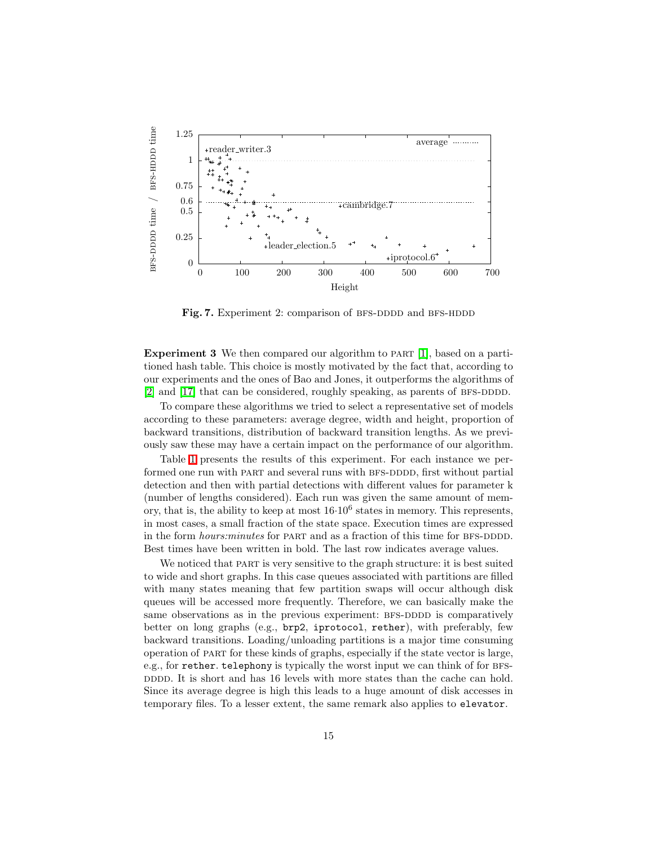

<span id="page-14-0"></span>Fig. 7. Experiment 2: comparison of BFS-DDDD and BFS-HDDD

**Experiment 3** We then compared our algorithm to PART  $[1]$ , based on a partitioned hash table. This choice is mostly motivated by the fact that, according to our experiments and the ones of Bao and Jones, it outperforms the algorithms of  $[2]$  and  $[17]$  that can be considered, roughly speaking, as parents of BFS-DDDD.

To compare these algorithms we tried to select a representative set of models according to these parameters: average degree, width and height, proportion of backward transitions, distribution of backward transition lengths. As we previously saw these may have a certain impact on the performance of our algorithm.

Table [1](#page-15-0) presents the results of this experiment. For each instance we performed one run with PART and several runs with BFS-DDDD, first without partial detection and then with partial detections with different values for parameter k (number of lengths considered). Each run was given the same amount of memory, that is, the ability to keep at most  $16 \cdot 10^6$  states in memory. This represents, in most cases, a small fraction of the state space. Execution times are expressed in the form *hours: minutes* for PART and as a fraction of this time for BFS-DDDD. Best times have been written in bold. The last row indicates average values.

We noticed that PART is very sensitive to the graph structure: it is best suited to wide and short graphs. In this case queues associated with partitions are filled with many states meaning that few partition swaps will occur although disk queues will be accessed more frequently. Therefore, we can basically make the same observations as in the previous experiment: BFS-DDDD is comparatively better on long graphs (e.g., brp2, iprotocol, rether), with preferably, few backward transitions. Loading/unloading partitions is a major time consuming operation of part for these kinds of graphs, especially if the state vector is large, e.g., for rether. telephony is typically the worst input we can think of for BFSpopp. It is short and has 16 levels with more states than the cache can hold. Since its average degree is high this leads to a huge amount of disk accesses in temporary files. To a lesser extent, the same remark also applies to elevator.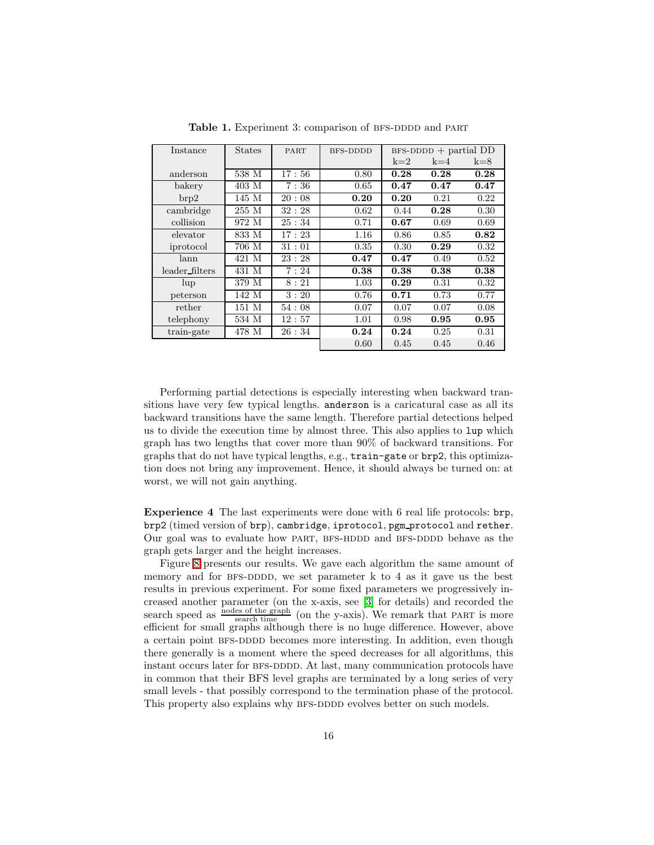<span id="page-15-0"></span>

| Instance       | States | PART  | <b>BFS-DDDD</b> | $BFS-DDD +$ partial $DD$ |       |       |
|----------------|--------|-------|-----------------|--------------------------|-------|-------|
|                |        |       |                 | $k=2$                    | $k=4$ | $k=8$ |
| anderson       | 538 M  | 17:56 | 0.80            | 0.28                     | 0.28  | 0.28  |
| bakery         | 403 M  | 7:36  | 0.65            | 0.47                     | 0.47  | 0.47  |
| brp2           | 145 M  | 20:08 | 0.20            | 0.20                     | 0.21  | 0.22  |
| cambridge      | 255 M  | 32:28 | 0.62            | 0.44                     | 0.28  | 0.30  |
| collision      | 972 M  | 25:34 | 0.71            | 0.67                     | 0.69  | 0.69  |
| elevator       | 833 M  | 17:23 | 1.16            | 0.86                     | 0.85  | 0.82  |
| iprotocol      | 706 M  | 31:01 | 0.35            | 0.30                     | 0.29  | 0.32  |
| lann           | 421 M  | 23:28 | 0.47            | 0.47                     | 0.49  | 0.52  |
| leader_filters | 431 M  | 7:24  | 0.38            | 0.38                     | 0.38  | 0.38  |
| $\ln p$        | 379 M  | 8:21  | 1.03            | 0.29                     | 0.31  | 0.32  |
| peterson       | 142 M  | 3:20  | 0.76            | 0.71                     | 0.73  | 0.77  |
| rether         | 151 M  | 54:08 | 0.07            | 0.07                     | 0.07  | 0.08  |
| telephony      | 534 M  | 12:57 | 1.01            | 0.98                     | 0.95  | 0.95  |
| train-gate     | 478 M  | 26:34 | 0.24            | 0.24                     | 0.25  | 0.31  |
|                |        |       | 0.60            | 0.45                     | 0.45  | 0.46  |

Table 1. Experiment 3: comparison of BFS-DDDD and PART

Performing partial detections is especially interesting when backward transitions have very few typical lengths. anderson is a caricatural case as all its backward transitions have the same length. Therefore partial detections helped us to divide the execution time by almost three. This also applies to lup which graph has two lengths that cover more than 90% of backward transitions. For graphs that do not have typical lengths, e.g., train-gate or brp2, this optimization does not bring any improvement. Hence, it should always be turned on: at worst, we will not gain anything.

Experience 4 The last experiments were done with 6 real life protocols: brp, brp2 (timed version of brp), cambridge, iprotocol, pgm protocol and rether. Our goal was to evaluate how PART, BFS-HDDD and BFS-DDDD behave as the graph gets larger and the height increases.

Figure [8](#page-16-1) presents our results. We gave each algorithm the same amount of memory and for  $BFS-DDDD$ , we set parameter k to 4 as it gave us the best results in previous experiment. For some fixed parameters we progressively increased another parameter (on the x-axis, see [\[3\]](#page-17-20) for details) and recorded the search speed as  $\frac{\text{nodes of the graph}}{\text{search time}}$  (on the y-axis). We remark that PART is more efficient for small graphs although there is no huge difference. However, above a certain point BFS-DDDD becomes more interesting. In addition, even though there generally is a moment where the speed decreases for all algorithms, this instant occurs later for BFS-DDDD. At last, many communication protocols have in common that their BFS level graphs are terminated by a long series of very small levels - that possibly correspond to the termination phase of the protocol. This property also explains why BFS-DDDD evolves better on such models.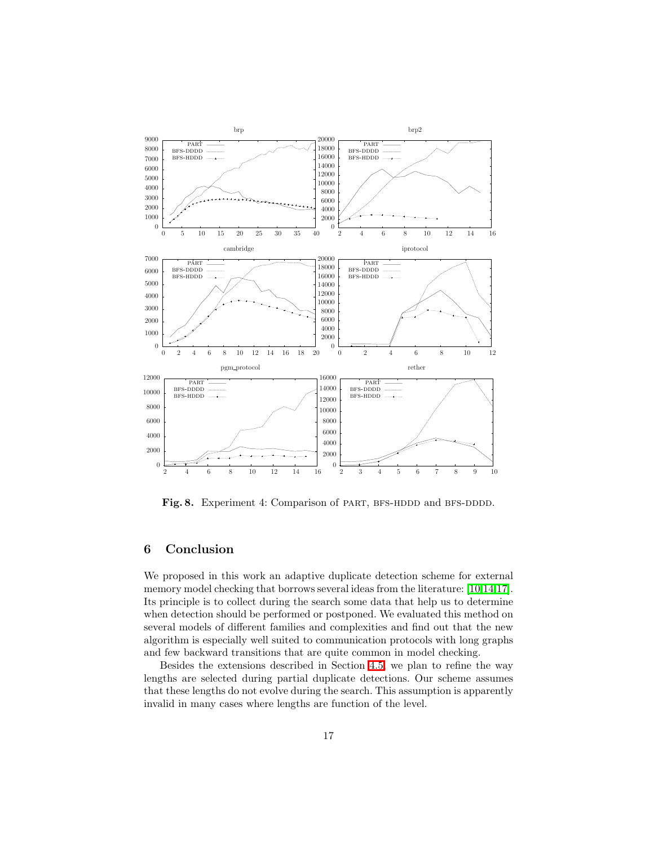

<span id="page-16-1"></span>Fig. 8. Experiment 4: Comparison of PART, BFS-HDDD and BFS-DDDD.

# <span id="page-16-0"></span>6 Conclusion

We proposed in this work an adaptive duplicate detection scheme for external memory model checking that borrows several ideas from the literature: [\[10](#page-17-2)[,14](#page-17-17)[,17\]](#page-17-5). Its principle is to collect during the search some data that help us to determine when detection should be performed or postponed. We evaluated this method on several models of different families and complexities and find out that the new algorithm is especially well suited to communication protocols with long graphs and few backward transitions that are quite common in model checking.

Besides the extensions described in Section [4.5,](#page-11-1) we plan to refine the way lengths are selected during partial duplicate detections. Our scheme assumes that these lengths do not evolve during the search. This assumption is apparently invalid in many cases where lengths are function of the level.